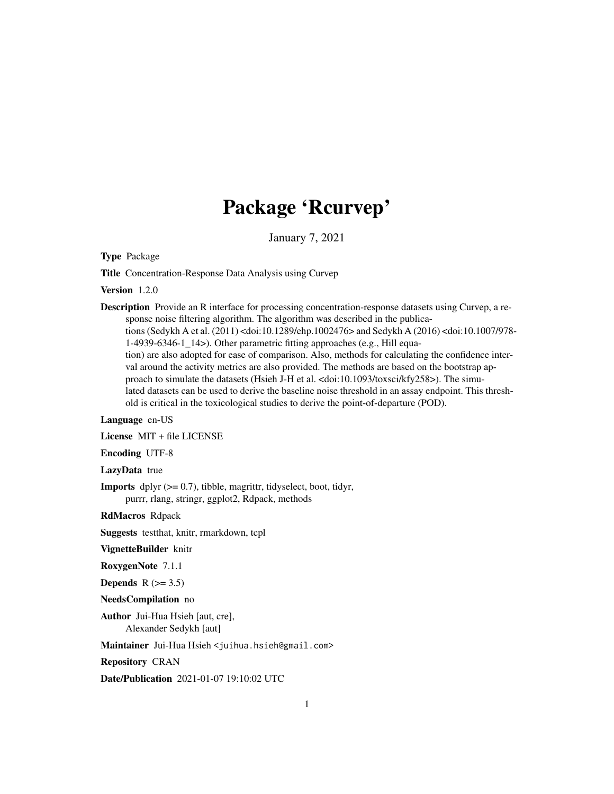# Package 'Rcurvep'

January 7, 2021

<span id="page-0-0"></span>Type Package

Title Concentration-Response Data Analysis using Curvep

Version 1.2.0

Description Provide an R interface for processing concentration-response datasets using Curvep, a response noise filtering algorithm. The algorithm was described in the publications (Sedykh A et al. (2011) <doi:10.1289/ehp.1002476> and Sedykh A (2016) <doi:10.1007/978- 1-4939-6346-1\_14>). Other parametric fitting approaches (e.g., Hill equation) are also adopted for ease of comparison. Also, methods for calculating the confidence interval around the activity metrics are also provided. The methods are based on the bootstrap approach to simulate the datasets (Hsieh J-H et al. <doi:10.1093/toxsci/kfy258>). The simulated datasets can be used to derive the baseline noise threshold in an assay endpoint. This threshold is critical in the toxicological studies to derive the point-of-departure (POD).

#### Language en-US

License MIT + file LICENSE

Encoding UTF-8

LazyData true

**Imports** dplyr  $(>= 0.7)$ , tibble, magrittr, tidyselect, boot, tidyr, purrr, rlang, stringr, ggplot2, Rdpack, methods

RdMacros Rdpack

Suggests testthat, knitr, rmarkdown, tcpl

VignetteBuilder knitr

RoxygenNote 7.1.1

Depends  $R$  ( $> = 3.5$ )

NeedsCompilation no

Author Jui-Hua Hsieh [aut, cre], Alexander Sedykh [aut]

Maintainer Jui-Hua Hsieh <juihua.hsieh@gmail.com>

Repository CRAN

Date/Publication 2021-01-07 19:10:02 UTC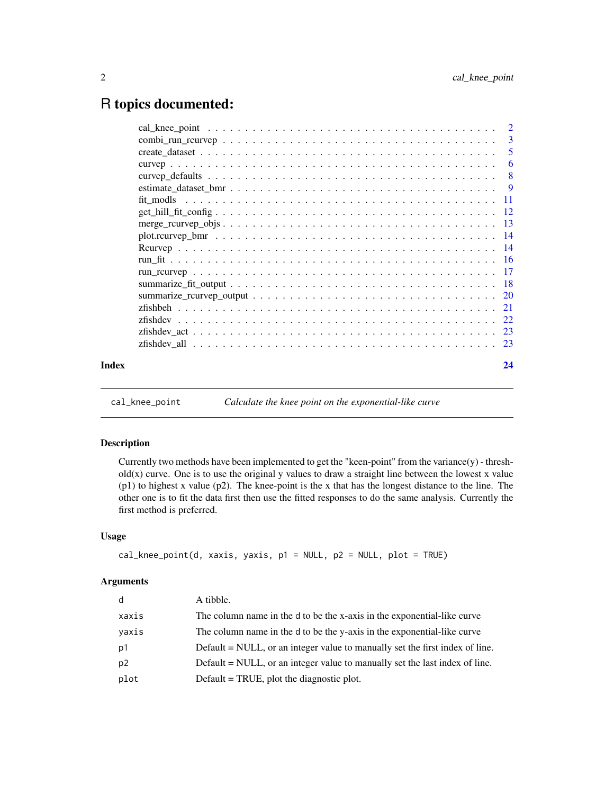# <span id="page-1-0"></span>R topics documented:

| Index | 24 |
|-------|----|
|       |    |

<span id="page-1-1"></span>cal\_knee\_point *Calculate the knee point on the exponential-like curve*

# Description

Currently two methods have been implemented to get the "keen-point" from the variance(y) - thresh $old(x)$  curve. One is to use the original y values to draw a straight line between the lowest x value (p1) to highest x value (p2). The knee-point is the x that has the longest distance to the line. The other one is to fit the data first then use the fitted responses to do the same analysis. Currently the first method is preferred.

# Usage

```
cal_knee_point(d, xaxis, yaxis, p1 = NULL, p2 = NULL, plot = TRUE)
```
#### Arguments

| d              | A tibble.                                                                    |
|----------------|------------------------------------------------------------------------------|
| xaxis          | The column name in the d to be the x-axis in the exponential-like curve      |
| yaxis          | The column name in the d to be the y-axis in the exponential-like curve      |
| p1             | Default = NULL, or an integer value to manually set the first index of line. |
| p <sub>2</sub> | Default = NULL, or an integer value to manually set the last index of line.  |
| plot           | Default = TRUE, plot the diagnostic plot.                                    |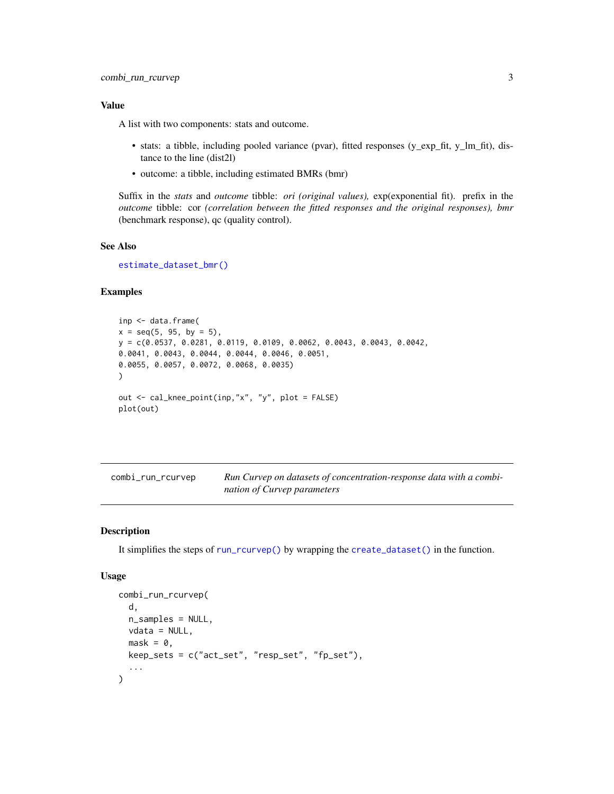<span id="page-2-0"></span>A list with two components: stats and outcome.

- stats: a tibble, including pooled variance (pvar), fitted responses (y\_exp\_fit, y\_lm\_fit), distance to the line (dist2l)
- outcome: a tibble, including estimated BMRs (bmr)

Suffix in the *stats* and *outcome* tibble: *ori (original values),* exp(exponential fit). prefix in the *outcome* tibble: cor *(correlation between the fitted responses and the original responses), bmr* (benchmark response), qc (quality control).

# See Also

[estimate\\_dataset\\_bmr\(\)](#page-8-1)

# Examples

```
inp <- data.frame(
x = seq(5, 95, by = 5),
y = c(0.0537, 0.0281, 0.0119, 0.0109, 0.0062, 0.0043, 0.0043, 0.0042,
0.0041, 0.0043, 0.0044, 0.0044, 0.0046, 0.0051,
0.0055, 0.0057, 0.0072, 0.0068, 0.0035)
)
out <- cal_knee_point(inp,"x", "y", plot = FALSE)
plot(out)
```
<span id="page-2-1"></span>

| combi_run_rcurvep | Run Curvep on datasets of concentration-response data with a combi- |
|-------------------|---------------------------------------------------------------------|
|                   | nation of Curvep parameters                                         |

# Description

It simplifies the steps of [run\\_rcurvep\(\)](#page-16-1) by wrapping the [create\\_dataset\(\)](#page-4-1) in the function.

# Usage

```
combi_run_rcurvep(
  d,
 n_samples = NULL,
 vdata = NULL,
 mask = 0,
 keep_sets = c("act_set", "resp_set", "fp_set"),
  ...
)
```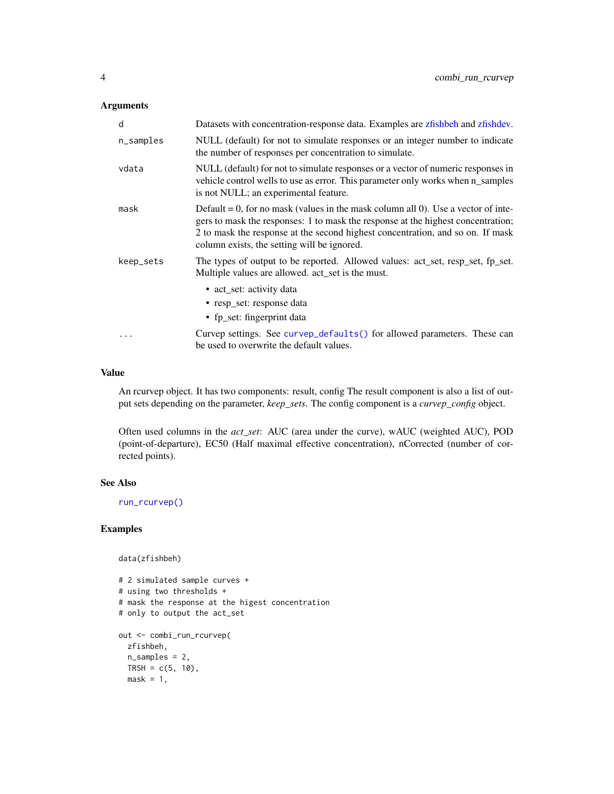#### <span id="page-3-0"></span>Arguments

| d         | Datasets with concentration-response data. Examples are zfishbeh and zfishdev.                                                                                                                                                                                                                         |
|-----------|--------------------------------------------------------------------------------------------------------------------------------------------------------------------------------------------------------------------------------------------------------------------------------------------------------|
| n_samples | NULL (default) for not to simulate responses or an integer number to indicate<br>the number of responses per concentration to simulate.                                                                                                                                                                |
| vdata     | NULL (default) for not to simulate responses or a vector of numeric responses in<br>vehicle control wells to use as error. This parameter only works when n_samples<br>is not NULL; an experimental feature.                                                                                           |
| mask      | Default = 0, for no mask (values in the mask column all 0). Use a vector of inte-<br>gers to mask the responses: 1 to mask the response at the highest concentration;<br>2 to mask the response at the second highest concentration, and so on. If mask<br>column exists, the setting will be ignored. |
| keep_sets | The types of output to be reported. Allowed values: act_set, resp_set, fp_set.<br>Multiple values are allowed. act_set is the must.                                                                                                                                                                    |
|           | • act set: activity data<br>• resp set: response data<br>• fp_set: fingerprint data                                                                                                                                                                                                                    |
|           | Curvep settings. See curvep_defaults() for allowed parameters. These can<br>be used to overwrite the default values.                                                                                                                                                                                   |

#### Value

An rcurvep object. It has two components: result, config The result component is also a list of output sets depending on the parameter, *keep\_sets*. The config component is a *curvep\_config* object.

Often used columns in the *act\_set*: AUC (area under the curve), wAUC (weighted AUC), POD (point-of-departure), EC50 (Half maximal effective concentration), nCorrected (number of corrected points).

# See Also

[run\\_rcurvep\(\)](#page-16-1)

# Examples

```
data(zfishbeh)
```

```
# 2 simulated sample curves +
# using two thresholds +
# mask the response at the higest concentration
# only to output the act_set
out <- combi_run_rcurvep(
  zfishbeh,
 n_samples = 2,
 TRSH = c(5, 10),mask = 1,
```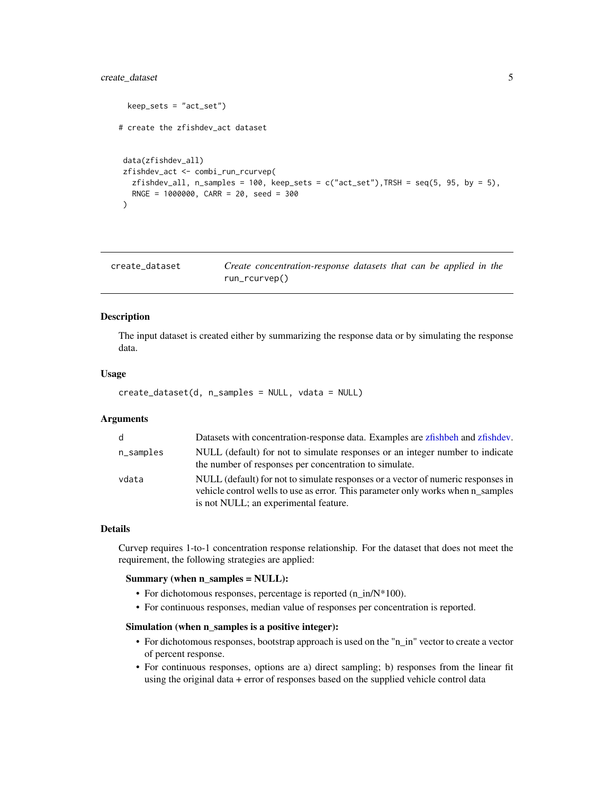# <span id="page-4-0"></span>create\_dataset 5

```
keep\_sets = "act_set")# create the zfishdev_act dataset
data(zfishdev_all)
zfishdev_act <- combi_run_rcurvep(
  zfishdev_all, n_samples = 100, keep_sets = c("act_set"), TRSH = seq(5, 95, by = 5),RNGE = 1000000, CARR = 20, seed = 300\lambda
```
<span id="page-4-1"></span>create\_dataset *Create concentration-response datasets that can be applied in the* run\_rcurvep()

#### Description

The input dataset is created either by summarizing the response data or by simulating the response data.

#### Usage

create\_dataset(d, n\_samples = NULL, vdata = NULL)

# Arguments

| - d       | Datasets with concentration-response data. Examples are zfishbeh and zfishdev.                                                                                                                               |
|-----------|--------------------------------------------------------------------------------------------------------------------------------------------------------------------------------------------------------------|
| n_samples | NULL (default) for not to simulate responses or an integer number to indicate<br>the number of responses per concentration to simulate.                                                                      |
| vdata     | NULL (default) for not to simulate responses or a vector of numeric responses in<br>vehicle control wells to use as error. This parameter only works when n samples<br>is not NULL; an experimental feature. |

# Details

Curvep requires 1-to-1 concentration response relationship. For the dataset that does not meet the requirement, the following strategies are applied:

# Summary (when n\_samples = NULL):

- For dichotomous responses, percentage is reported  $(n_in/N^*100)$ .
- For continuous responses, median value of responses per concentration is reported.

# Simulation (when n\_samples is a positive integer):

- For dichotomous responses, bootstrap approach is used on the "n\_in" vector to create a vector of percent response.
- For continuous responses, options are a) direct sampling; b) responses from the linear fit using the original data + error of responses based on the supplied vehicle control data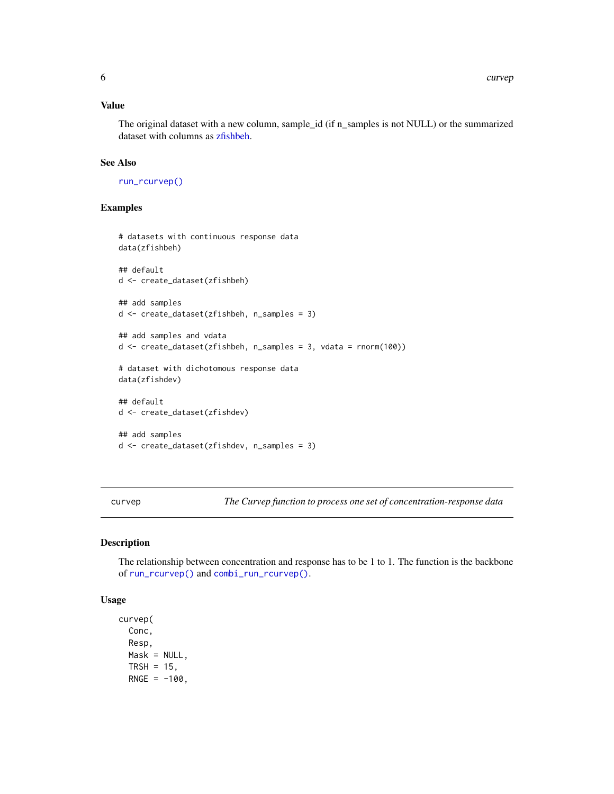<span id="page-5-0"></span>The original dataset with a new column, sample\_id (if n\_samples is not NULL) or the summarized dataset with columns as [zfishbeh.](#page-20-1)

# See Also

[run\\_rcurvep\(\)](#page-16-1)

# Examples

```
# datasets with continuous response data
data(zfishbeh)
## default
d <- create_dataset(zfishbeh)
## add samples
d <- create_dataset(zfishbeh, n_samples = 3)
## add samples and vdata
d <- create_dataset(zfishbeh, n_samples = 3, vdata = rnorm(100))
# dataset with dichotomous response data
data(zfishdev)
## default
d <- create_dataset(zfishdev)
## add samples
d <- create_dataset(zfishdev, n_samples = 3)
```
<span id="page-5-1"></span>curvep *The Curvep function to process one set of concentration-response data*

#### Description

The relationship between concentration and response has to be 1 to 1. The function is the backbone of [run\\_rcurvep\(\)](#page-16-1) and [combi\\_run\\_rcurvep\(\)](#page-2-1).

#### Usage

curvep( Conc, Resp,  $Mask = NULL,$ TRSH =  $15$ ,  $RNGE = -100$ ,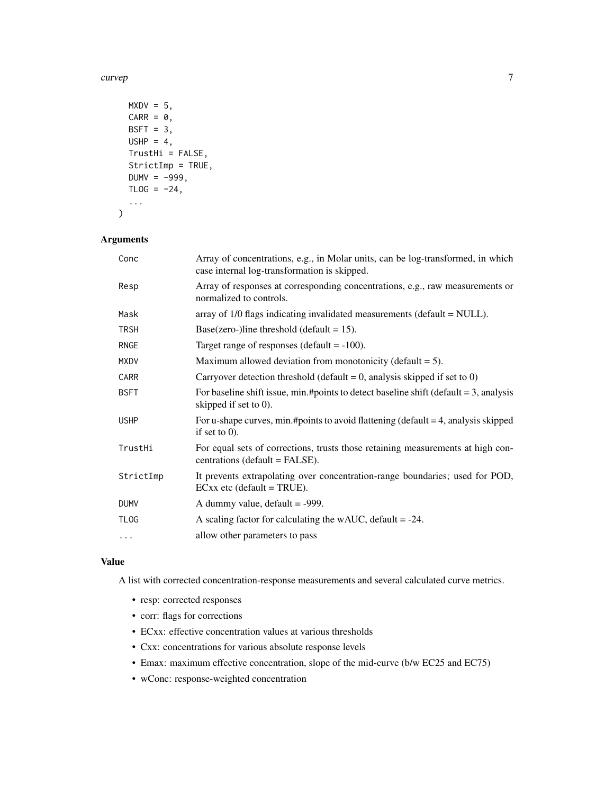curvep **7** and 2008 **7** and 2008 **7** and 2008 **7** and 2008 **7** and 2008 **7** and 2008 **7** and 2008 **7** and 2008 **7** and 2008 **7** and 2008 **7** and 2008 **7** and 2008 **7** and 2008 **7** and 2008 **7** and 2008 **7** and 2008 **7** and

```
MXDV = 5,
  CARR = 0,
  BSFT = 3,
  USHP = 4,
  TrustHi = FALSE,
  StrictImp = TRUE,
  DUMV = -999,TLOG = -24,...
\mathcal{L}
```
# Arguments

| Conc        | Array of concentrations, e.g., in Molar units, can be log-transformed, in which<br>case internal log-transformation is skipped. |
|-------------|---------------------------------------------------------------------------------------------------------------------------------|
| Resp        | Array of responses at corresponding concentrations, e.g., raw measurements or<br>normalized to controls.                        |
| Mask        | array of $1/0$ flags indicating invalidated measurements (default = $NULL$ ).                                                   |
| <b>TRSH</b> | Base(zero-)line threshold (default = $15$ ).                                                                                    |
| <b>RNGE</b> | Target range of responses (default $= -100$ ).                                                                                  |
| <b>MXDV</b> | Maximum allowed deviation from monotonicity (default $= 5$ ).                                                                   |
| CARR        | Carryover detection threshold (default = 0, analysis skipped if set to 0)                                                       |
| <b>BSFT</b> | For baseline shift issue, min.#points to detect baseline shift (default $= 3$ , analysis<br>skipped if set to $0$ ).            |
| <b>USHP</b> | For u-shape curves, min.#points to avoid flattening (default $=$ 4, analysis skipped<br>if set to $0$ ).                        |
| TrustHi     | For equal sets of corrections, trusts those retaining measurements at high con-<br>centrations (default = FALSE).               |
| StrictImp   | It prevents extrapolating over concentration-range boundaries; used for POD,<br>$ECxx$ etc (default = TRUE).                    |
| <b>DUMV</b> | A dummy value, $default = -999$ .                                                                                               |
| <b>TLOG</b> | A scaling factor for calculating the wAUC, default $= -24$ .                                                                    |
| .           | allow other parameters to pass                                                                                                  |

# Value

A list with corrected concentration-response measurements and several calculated curve metrics.

- resp: corrected responses
- corr: flags for corrections
- ECxx: effective concentration values at various thresholds
- Cxx: concentrations for various absolute response levels
- Emax: maximum effective concentration, slope of the mid-curve (b/w EC25 and EC75)
- wConc: response-weighted concentration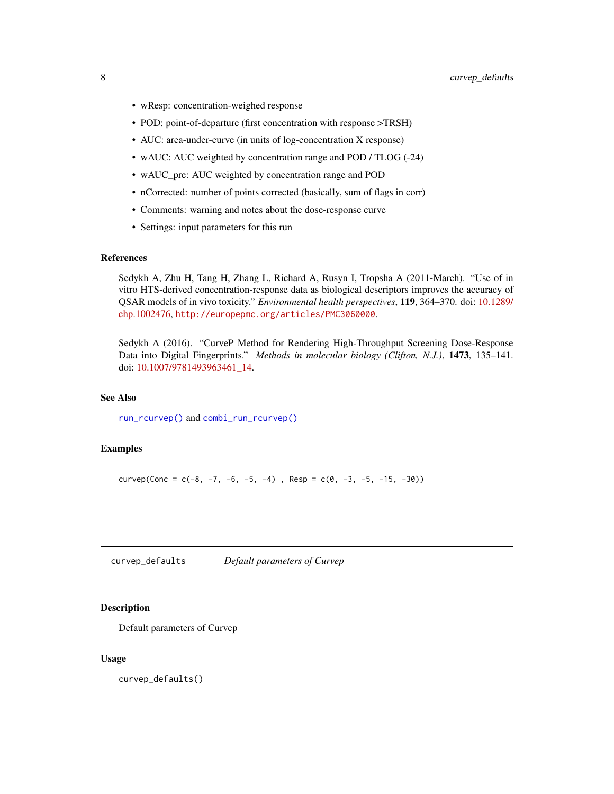- <span id="page-7-0"></span>• wResp: concentration-weighed response
- POD: point-of-departure (first concentration with response >TRSH)
- AUC: area-under-curve (in units of log-concentration X response)
- wAUC: AUC weighted by concentration range and POD / TLOG (-24)
- wAUC\_pre: AUC weighted by concentration range and POD
- nCorrected: number of points corrected (basically, sum of flags in corr)
- Comments: warning and notes about the dose-response curve
- Settings: input parameters for this run

#### **References**

Sedykh A, Zhu H, Tang H, Zhang L, Richard A, Rusyn I, Tropsha A (2011-March). "Use of in vitro HTS-derived concentration-response data as biological descriptors improves the accuracy of QSAR models of in vivo toxicity." *Environmental health perspectives*, 119, 364–370. doi: [10.1289/](https://doi.org/10.1289/ehp.1002476) [ehp.1002476,](https://doi.org/10.1289/ehp.1002476) <http://europepmc.org/articles/PMC3060000>.

Sedykh A (2016). "CurveP Method for Rendering High-Throughput Screening Dose-Response Data into Digital Fingerprints." *Methods in molecular biology (Clifton, N.J.)*, 1473, 135–141. doi: [10.1007/9781493963461\\_14.](https://doi.org/10.1007/978-1-4939-6346-1_14)

# See Also

[run\\_rcurvep\(\)](#page-16-1) and [combi\\_run\\_rcurvep\(\)](#page-2-1)

#### Examples

curvep(Conc =  $c(-8, -7, -6, -5, -4)$ , Resp =  $c(0, -3, -5, -15, -30)$ )

<span id="page-7-1"></span>curvep\_defaults *Default parameters of Curvep*

#### **Description**

Default parameters of Curvep

#### Usage

curvep\_defaults()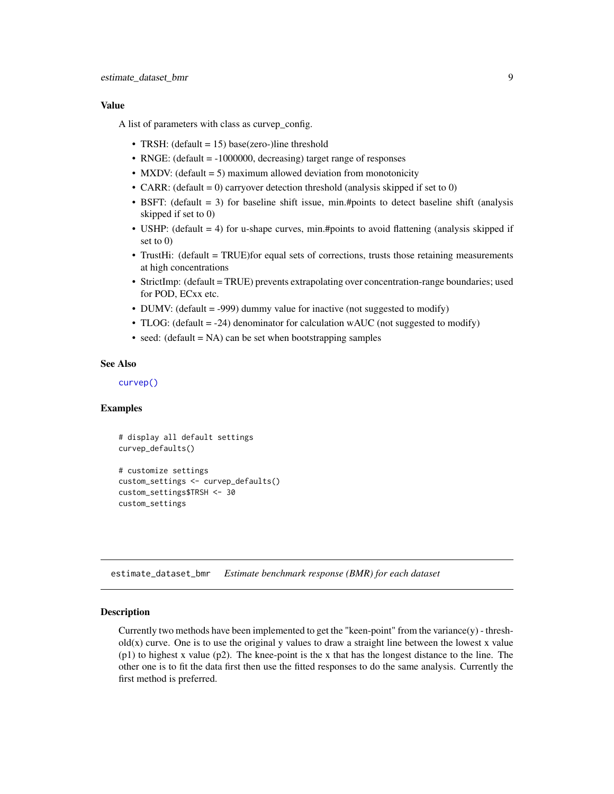<span id="page-8-0"></span>A list of parameters with class as curvep\_config.

- TRSH: (default = 15) base(zero-)line threshold
- RNGE: (default = -1000000, decreasing) target range of responses
- MXDV: (default = 5) maximum allowed deviation from monotonicity
- CARR: (default = 0) carryover detection threshold (analysis skipped if set to 0)
- BSFT: (default = 3) for baseline shift issue, min.#points to detect baseline shift (analysis skipped if set to 0)
- USHP: (default = 4) for u-shape curves, min.#points to avoid flattening (analysis skipped if set to 0)
- TrustHi: (default = TRUE)for equal sets of corrections, trusts those retaining measurements at high concentrations
- StrictImp: (default = TRUE) prevents extrapolating over concentration-range boundaries; used for POD, ECxx etc.
- DUMV: (default = -999) dummy value for inactive (not suggested to modify)
- TLOG: (default = -24) denominator for calculation wAUC (not suggested to modify)
- seed: (default  $= NA$ ) can be set when bootstrapping samples

# See Also

[curvep\(\)](#page-5-1)

custom\_settings

# Examples

```
# display all default settings
curvep_defaults()
# customize settings
custom_settings <- curvep_defaults()
custom_settings$TRSH <- 30
```
<span id="page-8-1"></span>estimate\_dataset\_bmr *Estimate benchmark response (BMR) for each dataset*

#### Description

Currently two methods have been implemented to get the "keen-point" from the variance(y) - thresh $old(x)$  curve. One is to use the original y values to draw a straight line between the lowest x value (p1) to highest x value (p2). The knee-point is the x that has the longest distance to the line. The other one is to fit the data first then use the fitted responses to do the same analysis. Currently the first method is preferred.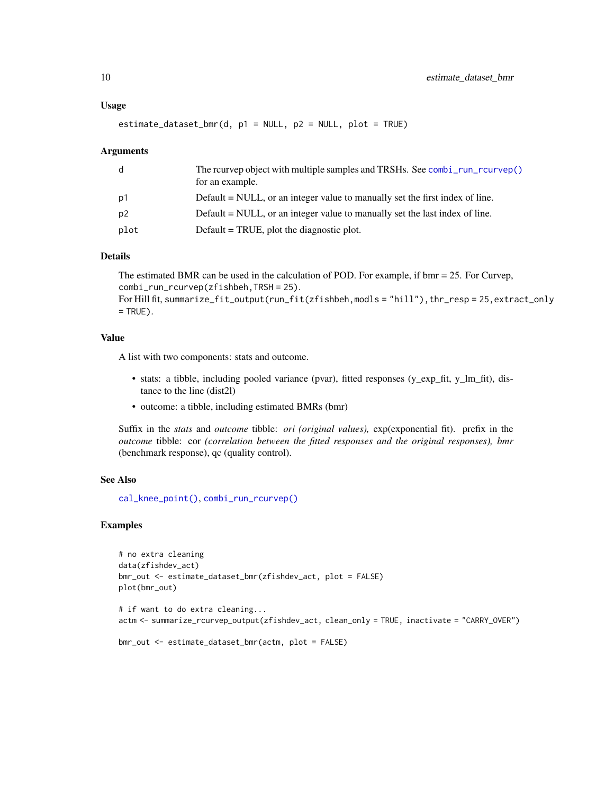<span id="page-9-0"></span>estimate\_dataset\_bmr(d, p1 = NULL, p2 = NULL, plot = TRUE)

#### Arguments

| d    | The reurvep object with multiple samples and TRSHs. See combi run reurvep()<br>for an example. |
|------|------------------------------------------------------------------------------------------------|
| p1   | Default = NULL, or an integer value to manually set the first index of line.                   |
| p2   | Default = NULL, or an integer value to manually set the last index of line.                    |
| plot | Default = TRUE, plot the diagnostic plot.                                                      |

#### Details

The estimated BMR can be used in the calculation of POD. For example, if bmr = 25. For Curvep, combi\_run\_rcurvep(zfishbeh,TRSH = 25). For Hill fit, summarize\_fit\_output(run\_fit(zfishbeh,modls = "hill"), thr\_resp = 25, extract\_only  $=$  TRUE).

#### Value

A list with two components: stats and outcome.

- stats: a tibble, including pooled variance (pvar), fitted responses (y\_exp\_fit, y\_lm\_fit), distance to the line (dist2l)
- outcome: a tibble, including estimated BMRs (bmr)

Suffix in the *stats* and *outcome* tibble: *ori (original values),* exp(exponential fit). prefix in the *outcome* tibble: cor *(correlation between the fitted responses and the original responses), bmr* (benchmark response), qc (quality control).

# See Also

[cal\\_knee\\_point\(\)](#page-1-1), [combi\\_run\\_rcurvep\(\)](#page-2-1)

#### Examples

```
# no extra cleaning
data(zfishdev_act)
bmr_out <- estimate_dataset_bmr(zfishdev_act, plot = FALSE)
plot(bmr_out)
```
# if want to do extra cleaning... actm <- summarize\_rcurvep\_output(zfishdev\_act, clean\_only = TRUE, inactivate = "CARRY\_OVER")

```
bmr_out <- estimate_dataset_bmr(actm, plot = FALSE)
```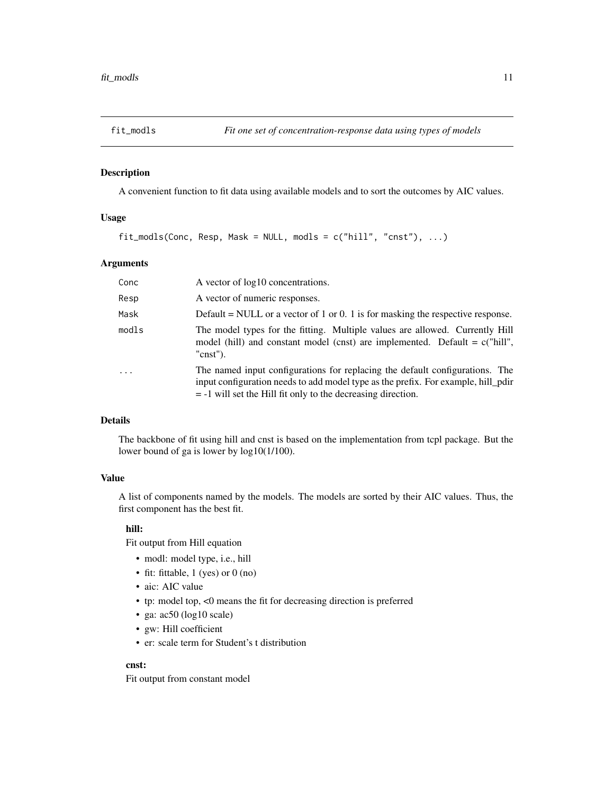# <span id="page-10-1"></span><span id="page-10-0"></span>Description

A convenient function to fit data using available models and to sort the outcomes by AIC values.

# Usage

 $fit_{model}$  (Conc, Resp, Mask = NULL, modls = c("hill", "cnst"), ...)

# Arguments

| Conc     | A vector of $log 10$ concentrations.                                                                                                                                                                                                |
|----------|-------------------------------------------------------------------------------------------------------------------------------------------------------------------------------------------------------------------------------------|
| Resp     | A vector of numeric responses.                                                                                                                                                                                                      |
| Mask     | Default = NULL or a vector of 1 or 0. 1 is for masking the respective response.                                                                                                                                                     |
| modls    | The model types for the fitting. Multiple values are allowed. Currently Hill<br>model (hill) and constant model (cnst) are implemented. Default = $c("hill",$<br>$"cnst"$ ).                                                        |
| $\cdots$ | The named input configurations for replacing the default configurations. The<br>input configuration needs to add model type as the prefix. For example, hill pdir<br>$= -1$ will set the Hill fit only to the decreasing direction. |

# Details

The backbone of fit using hill and cnst is based on the implementation from tcpl package. But the lower bound of ga is lower by log10(1/100).

#### Value

A list of components named by the models. The models are sorted by their AIC values. Thus, the first component has the best fit.

# hill:

Fit output from Hill equation

- modl: model type, i.e., hill
- fit: fittable, 1 (yes) or 0 (no)
- aic: AIC value
- tp: model top, <0 means the fit for decreasing direction is preferred
- ga: ac50 (log10 scale)
- gw: Hill coefficient
- er: scale term for Student's t distribution

# cnst:

Fit output from constant model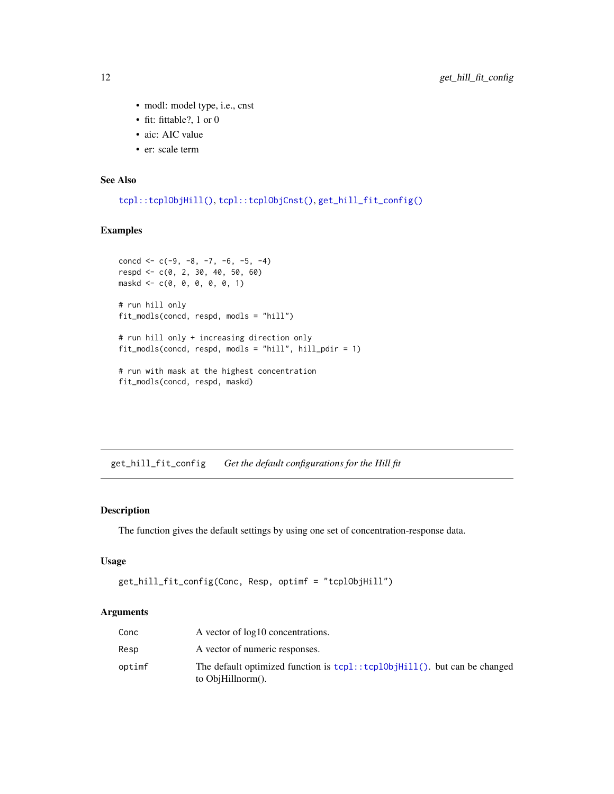- modl: model type, i.e., cnst
- fit: fittable?, 1 or 0
- aic: AIC value
- er: scale term

#### See Also

[tcpl::tcplObjHill\(\)](#page-0-0), [tcpl::tcplObjCnst\(\)](#page-0-0), [get\\_hill\\_fit\\_config\(\)](#page-11-1)

# Examples

```
concd \leq -c(-9, -8, -7, -6, -5, -4)respd <- c(0, 2, 30, 40, 50, 60)
maskd <- c(0, 0, 0, 0, 0, 1)
# run hill only
fit_modls(concd, respd, modls = "hill")
# run hill only + increasing direction only
fit_modls(concd, respd, modls = "hill", hill_pdir = 1)
# run with mask at the highest concentration
fit_modls(concd, respd, maskd)
```
<span id="page-11-1"></span>get\_hill\_fit\_config *Get the default configurations for the Hill fit*

# Description

The function gives the default settings by using one set of concentration-response data.

# Usage

```
get_hill_fit_config(Conc, Resp, optimf = "tcplObjHill")
```
# Arguments

| Conc   | A vector of log10 concentrations.                                                              |
|--------|------------------------------------------------------------------------------------------------|
| Resp   | A vector of numeric responses.                                                                 |
| optimf | The default optimized function is tcpl::tcpl0bjHill(). but can be changed<br>to ObjHillnorm(). |

<span id="page-11-0"></span>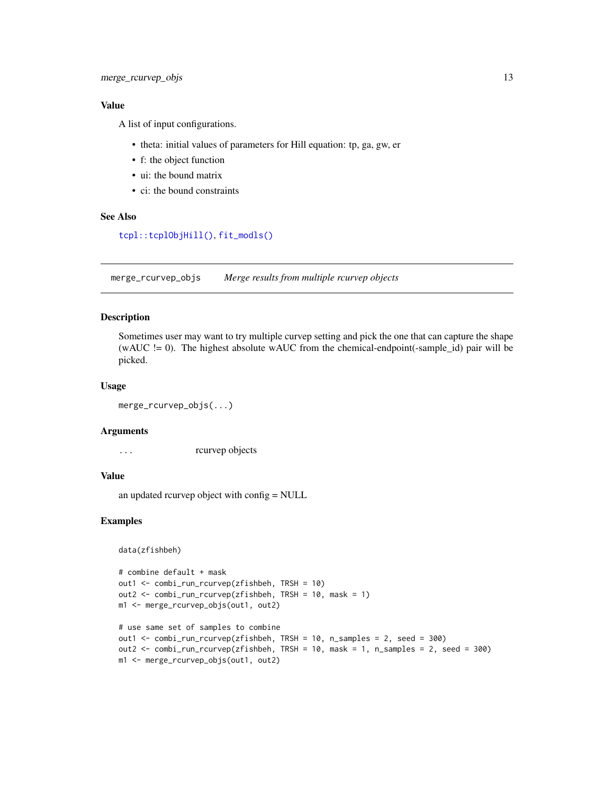<span id="page-12-0"></span>A list of input configurations.

- theta: initial values of parameters for Hill equation: tp, ga, gw, er
- f: the object function
- ui: the bound matrix
- ci: the bound constraints

## See Also

[tcpl::tcplObjHill\(\)](#page-0-0), [fit\\_modls\(\)](#page-10-1)

merge\_rcurvep\_objs *Merge results from multiple rcurvep objects*

#### Description

Sometimes user may want to try multiple curvep setting and pick the one that can capture the shape (wAUC  $!= 0$ ). The highest absolute wAUC from the chemical-endpoint(-sample\_id) pair will be picked.

# Usage

merge\_rcurvep\_objs(...)

#### Arguments

... rcurvep objects

### Value

an updated rcurvep object with config = NULL

#### Examples

```
data(zfishbeh)
```

```
# combine default + mask
out1 <- combi_run_rcurvep(zfishbeh, TRSH = 10)
out2 <- combi_run_rcurvep(zfishbeh, TRSH = 10, mask = 1)
m1 <- merge_rcurvep_objs(out1, out2)
# use same set of samples to combine
```

```
out1 <- combi_run_rcurvep(zfishbeh, TRSH = 10, n_samples = 2, seed = 300)
out2 <- combi_run_rcurvep(zfishbeh, TRSH = 10, mask = 1, n_samples = 2, seed = 300)
m1 <- merge_rcurvep_objs(out1, out2)
```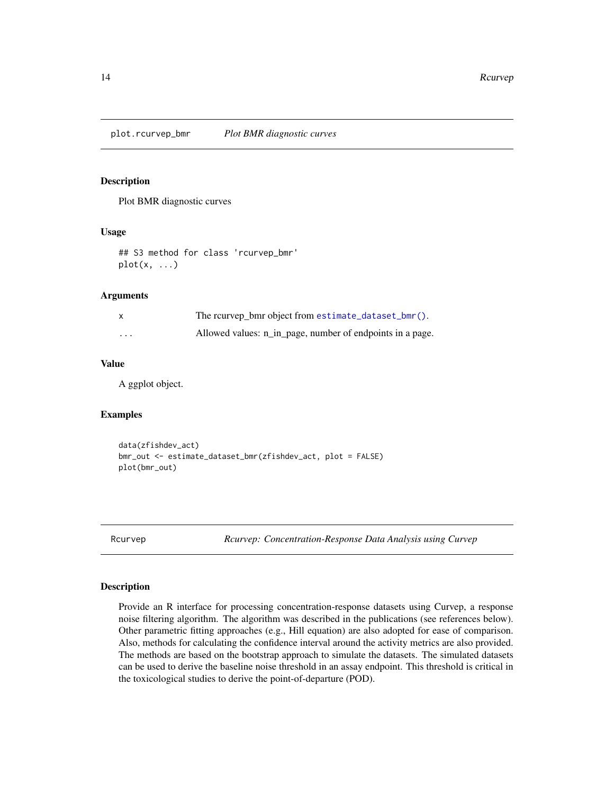<span id="page-13-0"></span>plot.rcurvep\_bmr *Plot BMR diagnostic curves*

# Description

Plot BMR diagnostic curves

#### Usage

## S3 method for class 'rcurvep\_bmr' plot(x, ...)

# Arguments

| X        | The reurvep bmr object from estimate_dataset_bmr().       |
|----------|-----------------------------------------------------------|
| $\cdots$ | Allowed values: n_in_page, number of endpoints in a page. |

# Value

A ggplot object.

#### Examples

```
data(zfishdev_act)
bmr_out <- estimate_dataset_bmr(zfishdev_act, plot = FALSE)
plot(bmr_out)
```
Rcurvep *Rcurvep: Concentration-Response Data Analysis using Curvep*

#### Description

Provide an R interface for processing concentration-response datasets using Curvep, a response noise filtering algorithm. The algorithm was described in the publications (see references below). Other parametric fitting approaches (e.g., Hill equation) are also adopted for ease of comparison. Also, methods for calculating the confidence interval around the activity metrics are also provided. The methods are based on the bootstrap approach to simulate the datasets. The simulated datasets can be used to derive the baseline noise threshold in an assay endpoint. This threshold is critical in the toxicological studies to derive the point-of-departure (POD).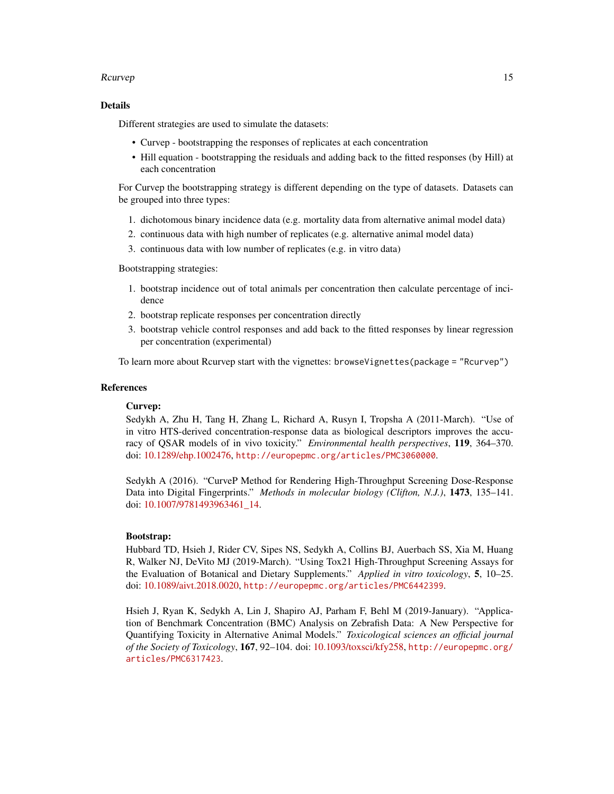#### Rcurvep 2012 15

#### Details

Different strategies are used to simulate the datasets:

- Curvep bootstrapping the responses of replicates at each concentration
- Hill equation bootstrapping the residuals and adding back to the fitted responses (by Hill) at each concentration

For Curvep the bootstrapping strategy is different depending on the type of datasets. Datasets can be grouped into three types:

- 1. dichotomous binary incidence data (e.g. mortality data from alternative animal model data)
- 2. continuous data with high number of replicates (e.g. alternative animal model data)
- 3. continuous data with low number of replicates (e.g. in vitro data)

Bootstrapping strategies:

- 1. bootstrap incidence out of total animals per concentration then calculate percentage of incidence
- 2. bootstrap replicate responses per concentration directly
- 3. bootstrap vehicle control responses and add back to the fitted responses by linear regression per concentration (experimental)

To learn more about Rcurvep start with the vignettes: browseVignettes(package = "Rcurvep")

# References

# Curvep:

Sedykh A, Zhu H, Tang H, Zhang L, Richard A, Rusyn I, Tropsha A (2011-March). "Use of in vitro HTS-derived concentration-response data as biological descriptors improves the accuracy of QSAR models of in vivo toxicity." *Environmental health perspectives*, 119, 364–370. doi: [10.1289/ehp.1002476,](https://doi.org/10.1289/ehp.1002476) <http://europepmc.org/articles/PMC3060000>.

Sedykh A (2016). "CurveP Method for Rendering High-Throughput Screening Dose-Response Data into Digital Fingerprints." *Methods in molecular biology (Clifton, N.J.)*, 1473, 135–141. doi: [10.1007/9781493963461\\_14.](https://doi.org/10.1007/978-1-4939-6346-1_14)

#### Bootstrap:

Hubbard TD, Hsieh J, Rider CV, Sipes NS, Sedykh A, Collins BJ, Auerbach SS, Xia M, Huang R, Walker NJ, DeVito MJ (2019-March). "Using Tox21 High-Throughput Screening Assays for the Evaluation of Botanical and Dietary Supplements." *Applied in vitro toxicology*, 5, 10–25. doi: [10.1089/aivt.2018.0020,](https://doi.org/10.1089/aivt.2018.0020) <http://europepmc.org/articles/PMC6442399>.

Hsieh J, Ryan K, Sedykh A, Lin J, Shapiro AJ, Parham F, Behl M (2019-January). "Application of Benchmark Concentration (BMC) Analysis on Zebrafish Data: A New Perspective for Quantifying Toxicity in Alternative Animal Models." *Toxicological sciences an official journal of the Society of Toxicology*, 167, 92–104. doi: [10.1093/toxsci/kfy258,](https://doi.org/10.1093/toxsci/kfy258) [http://europepmc.org/](http://europepmc.org/articles/PMC6317423) [articles/PMC6317423](http://europepmc.org/articles/PMC6317423).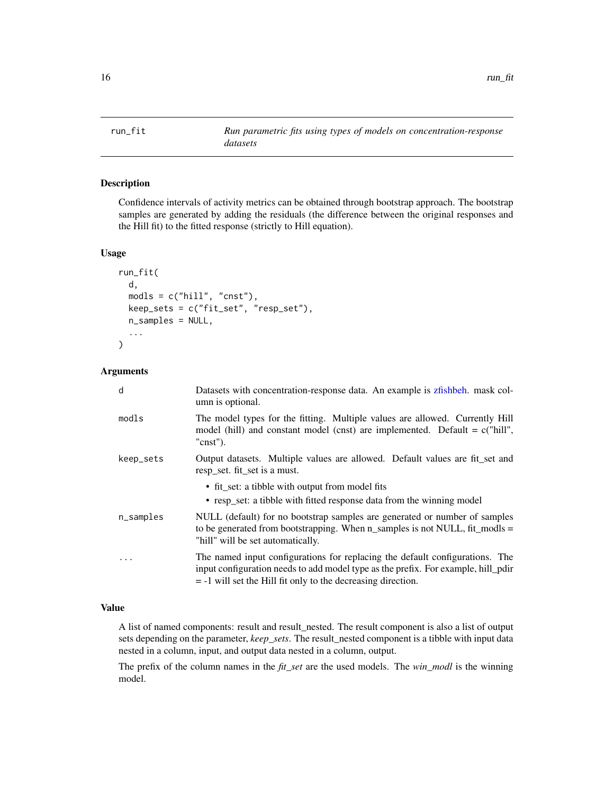<span id="page-15-1"></span><span id="page-15-0"></span>

# Description

Confidence intervals of activity metrics can be obtained through bootstrap approach. The bootstrap samples are generated by adding the residuals (the difference between the original responses and the Hill fit) to the fitted response (strictly to Hill equation).

#### Usage

```
run_fit(
 d,
 models = c("hill", "cnst"),keep_sets = c("fit_set", "resp_set"),
 n_samples = NULL,
  ...
)
```
# Arguments

| d            | Datasets with concentration-response data. An example is zfishbeh. mask col-<br>umn is optional.                                                                                                                                    |
|--------------|-------------------------------------------------------------------------------------------------------------------------------------------------------------------------------------------------------------------------------------|
| modls        | The model types for the fitting. Multiple values are allowed. Currently Hill<br>model (hill) and constant model (cnst) are implemented. Default = $c("hill",$<br>$"cnst"$ ).                                                        |
| keep_sets    | Output datasets. Multiple values are allowed. Default values are fit set and<br>resp set. fit set is a must.                                                                                                                        |
|              | • fit_set: a tibble with output from model fits<br>• resp_set: a tibble with fitted response data from the winning model                                                                                                            |
| $n$ _samples | NULL (default) for no bootstrap samples are generated or number of samples<br>to be generated from bootstrapping. When $n$ _samples is not NULL, fit_modls =<br>"hill" will be set automatically.                                   |
| $\cdot$      | The named input configurations for replacing the default configurations. The<br>input configuration needs to add model type as the prefix. For example, hill pdir<br>$= -1$ will set the Hill fit only to the decreasing direction. |

# Value

A list of named components: result and result\_nested. The result component is also a list of output sets depending on the parameter, *keep\_sets*. The result\_nested component is a tibble with input data nested in a column, input, and output data nested in a column, output.

The prefix of the column names in the *fit\_set* are the used models. The *win\_modl* is the winning model.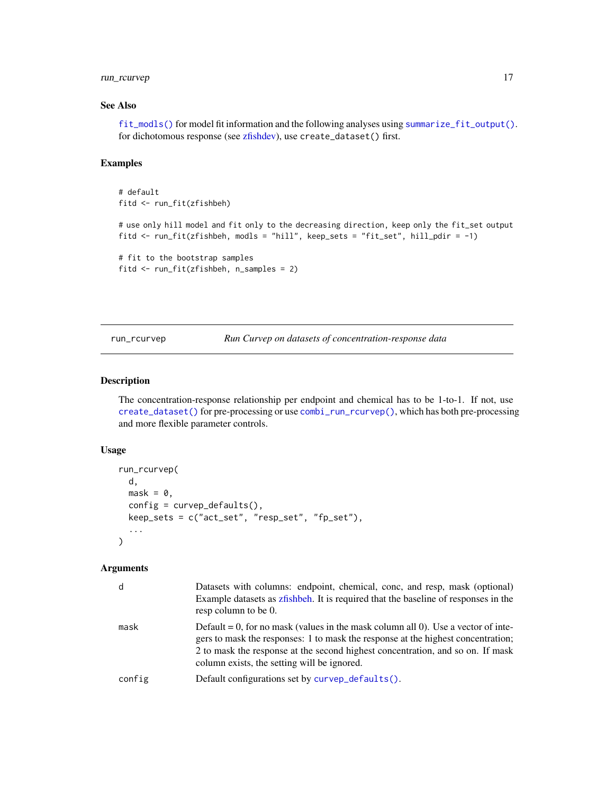# <span id="page-16-0"></span>run\_rcurvep 17

# See Also

[fit\\_modls\(\)](#page-10-1) for model fit information and the following analyses using [summarize\\_fit\\_output\(\)](#page-17-1). for dichotomous response (see [zfishdev\)](#page-21-1), use create\_dataset() first.

# Examples

```
# default
fitd <- run_fit(zfishbeh)
# use only hill model and fit only to the decreasing direction, keep only the fit_set output
fitd <- run_fit(zfishbeh, modls = "hill", keep_sets = "fit_set", hill_pdir = -1)
# fit to the bootstrap samples
fitd <- run_fit(zfishbeh, n_samples = 2)
```
<span id="page-16-1"></span>run\_rcurvep *Run Curvep on datasets of concentration-response data*

# Description

The concentration-response relationship per endpoint and chemical has to be 1-to-1. If not, use [create\\_dataset\(\)](#page-4-1) for pre-processing or use [combi\\_run\\_rcurvep\(\)](#page-2-1), which has both pre-processing and more flexible parameter controls.

#### Usage

```
run_rcurvep(
 d,
 mask = 0,config = curvep_defaults(),keep_sets = c("act_set", "resp_set", "fp_set"),
  ...
)
```
#### Arguments

| d      | Datasets with columns: endpoint, chemical, conc, and resp, mask (optional)<br>Example datasets as zfishbeh. It is required that the baseline of responses in the<br>resp column to be 0.                                                                                                               |
|--------|--------------------------------------------------------------------------------------------------------------------------------------------------------------------------------------------------------------------------------------------------------------------------------------------------------|
| mask   | Default = 0, for no mask (values in the mask column all 0). Use a vector of inte-<br>gers to mask the responses: 1 to mask the response at the highest concentration;<br>2 to mask the response at the second highest concentration, and so on. If mask<br>column exists, the setting will be ignored. |
| config | Default configurations set by curvep_defaults().                                                                                                                                                                                                                                                       |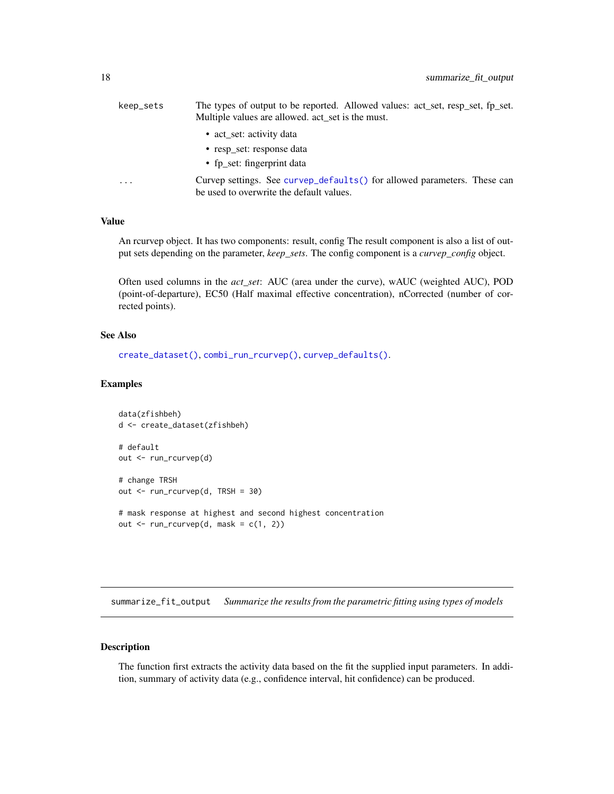<span id="page-17-0"></span>

| keep_sets               | The types of output to be reported. Allowed values: act_set, resp_set, fp_set.<br>Multiple values are allowed. act_set is the must. |
|-------------------------|-------------------------------------------------------------------------------------------------------------------------------------|
|                         | • act_set: activity data                                                                                                            |
|                         | • resp set: response data                                                                                                           |
|                         | • fp set: fingerprint data                                                                                                          |
| $\cdot$ $\cdot$ $\cdot$ | Curvep settings. See curvep_defaults() for allowed parameters. These can<br>be used to overwrite the default values.                |

An rcurvep object. It has two components: result, config The result component is also a list of output sets depending on the parameter, *keep\_sets*. The config component is a *curvep\_config* object.

Often used columns in the *act\_set*: AUC (area under the curve), wAUC (weighted AUC), POD (point-of-departure), EC50 (Half maximal effective concentration), nCorrected (number of corrected points).

#### See Also

```
create_dataset(), combi_run_rcurvep(), curvep_defaults().
```
#### Examples

```
data(zfishbeh)
d <- create_dataset(zfishbeh)
# default
out <- run_rcurvep(d)
# change TRSH
out <- run_rcurvep(d, TRSH = 30)
# mask response at highest and second highest concentration
out \leq run_rcurvep(d, mask = c(1, 2))
```
<span id="page-17-1"></span>summarize\_fit\_output *Summarize the results from the parametric fitting using types of models*

# Description

The function first extracts the activity data based on the fit the supplied input parameters. In addition, summary of activity data (e.g., confidence interval, hit confidence) can be produced.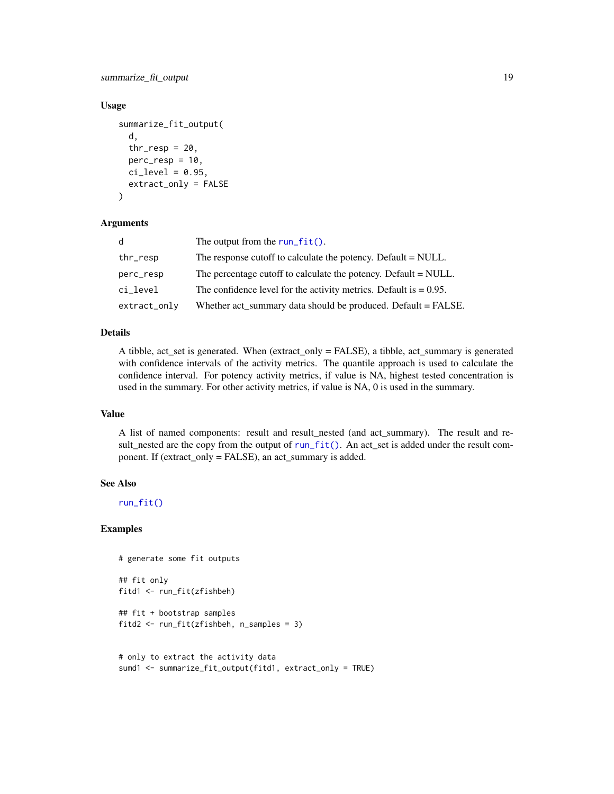<span id="page-18-0"></span>summarize\_fit\_output 19

#### Usage

```
summarize_fit_output(
 d,
  thr\_resp = 20,
 perc\_resp = 10,ci level = 0.95,
 extract_only = FALSE
```
# )

# Arguments

| d            | The output from the $run_fit()$ .                                    |
|--------------|----------------------------------------------------------------------|
| thr_resp     | The response cutoff to calculate the potency. Default = NULL.        |
| perc_resp    | The percentage cutoff to calculate the potency. Default = NULL.      |
| ci_level     | The confidence level for the activity metrics. Default is $= 0.95$ . |
| extract_only | Whether act_summary data should be produced. Default = FALSE.        |

#### Details

A tibble, act\_set is generated. When (extract\_only = FALSE), a tibble, act\_summary is generated with confidence intervals of the activity metrics. The quantile approach is used to calculate the confidence interval. For potency activity metrics, if value is NA, highest tested concentration is used in the summary. For other activity metrics, if value is NA, 0 is used in the summary.

# Value

A list of named components: result and result\_nested (and act\_summary). The result and result\_nested are the copy from the output of [run\\_fit\(\)](#page-15-1). An act\_set is added under the result component. If (extract\_only = FALSE), an act\_summary is added.

#### See Also

[run\\_fit\(\)](#page-15-1)

# Examples

```
# generate some fit outputs
## fit only
fitd1 <- run_fit(zfishbeh)
## fit + bootstrap samples
fitd2 <- run_fit(zfishbeh, n_samples = 3)
# only to extract the activity data
sumd1 <- summarize_fit_output(fitd1, extract_only = TRUE)
```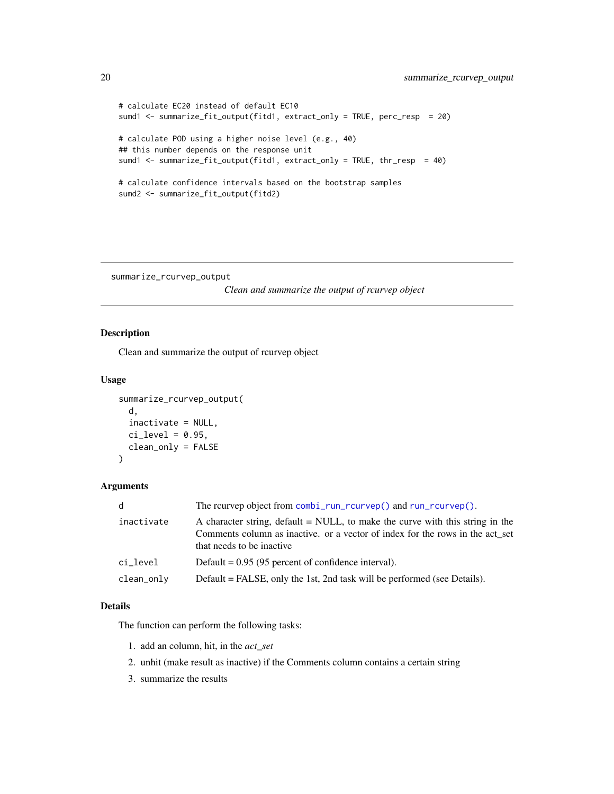```
# calculate EC20 instead of default EC10
sumd1 <- summarize_fit_output(fitd1, extract_only = TRUE, perc_resp = 20)
# calculate POD using a higher noise level (e.g., 40)
## this number depends on the response unit
sumd1 <- summarize_fit_output(fitd1, extract_only = TRUE, thr_resp = 40)
# calculate confidence intervals based on the bootstrap samples
sumd2 <- summarize_fit_output(fitd2)
```
summarize\_rcurvep\_output

*Clean and summarize the output of rcurvep object*

# Description

Clean and summarize the output of rcurvep object

# Usage

```
summarize_rcurvep_output(
  d,
  inactivate = NULL,
  ci\_level = 0.95,
  clean_only = FALSE
\mathcal{L}
```
#### Arguments

| d            | The reurvep object from combi_run_rcurvep() and run_rcurvep().                                                                                                                               |
|--------------|----------------------------------------------------------------------------------------------------------------------------------------------------------------------------------------------|
| inactivate   | A character string, default = NULL, to make the curve with this string in the<br>Comments column as inactive. or a vector of index for the rows in the act_set<br>that needs to be inactive. |
| ci_level     | Default = $0.95$ (95 percent of confidence interval).                                                                                                                                        |
| $clean_only$ | Default = FALSE, only the 1st, 2nd task will be performed (see Details).                                                                                                                     |

# Details

The function can perform the following tasks:

- 1. add an column, hit, in the *act\_set*
- 2. unhit (make result as inactive) if the Comments column contains a certain string
- 3. summarize the results

<span id="page-19-0"></span>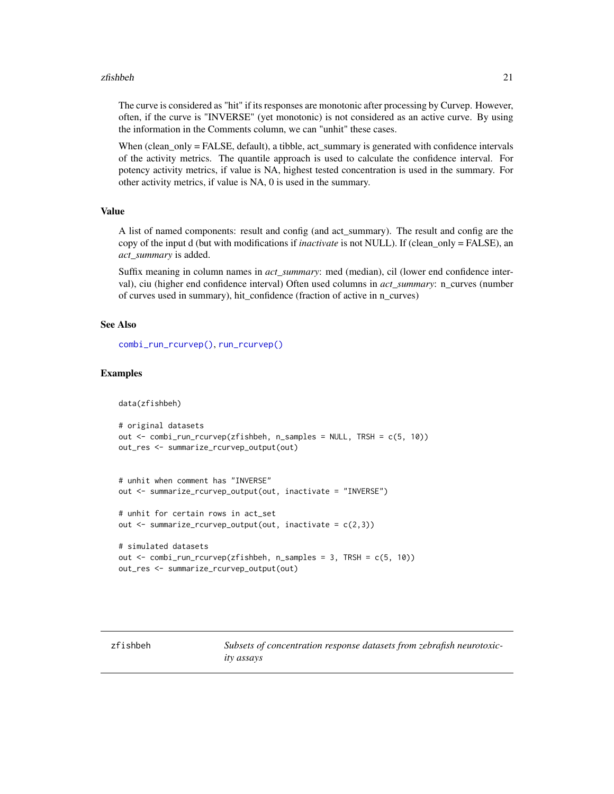#### <span id="page-20-0"></span>zfishbeh 21

The curve is considered as "hit" if its responses are monotonic after processing by Curvep. However, often, if the curve is "INVERSE" (yet monotonic) is not considered as an active curve. By using the information in the Comments column, we can "unhit" these cases.

When (clean\_only = FALSE, default), a tibble, act\_summary is generated with confidence intervals of the activity metrics. The quantile approach is used to calculate the confidence interval. For potency activity metrics, if value is NA, highest tested concentration is used in the summary. For other activity metrics, if value is NA, 0 is used in the summary.

#### Value

A list of named components: result and config (and act\_summary). The result and config are the copy of the input d (but with modifications if *inactivate* is not NULL). If (clean\_only = FALSE), an *act\_summary* is added.

Suffix meaning in column names in *act\_summary*: med (median), cil (lower end confidence interval), ciu (higher end confidence interval) Often used columns in *act\_summary*: n\_curves (number of curves used in summary), hit\_confidence (fraction of active in n\_curves)

# See Also

[combi\\_run\\_rcurvep\(\)](#page-2-1), [run\\_rcurvep\(\)](#page-16-1)

#### Examples

data(zfishbeh)

```
# original datasets
out <- combi_run_rcurvep(zfishbeh, n_samples = NULL, TRSH = c(5, 10))
out_res <- summarize_rcurvep_output(out)
```

```
# unhit when comment has "INVERSE"
out <- summarize_rcurvep_output(out, inactivate = "INVERSE")
```

```
# unhit for certain rows in act_set
out \leq summarize_rcurvep_output(out, inactivate = c(2,3))
```

```
# simulated datasets
out <- combi_run_rcurvep(zfishbeh, n_samples = 3, TRSH = c(5, 10))
out_res <- summarize_rcurvep_output(out)
```
<span id="page-20-1"></span>zfishbeh *Subsets of concentration response datasets from zebrafish neurotoxicity assays*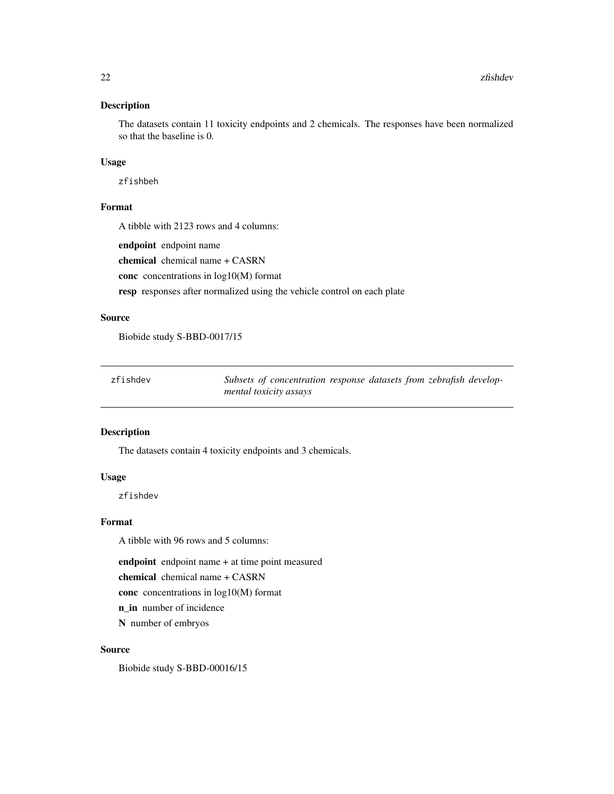# <span id="page-21-0"></span>Description

The datasets contain 11 toxicity endpoints and 2 chemicals. The responses have been normalized so that the baseline is 0.

# Usage

zfishbeh

# Format

A tibble with 2123 rows and 4 columns:

endpoint endpoint name

chemical chemical name + CASRN

conc concentrations in log10(M) format

resp responses after normalized using the vehicle control on each plate

# Source

Biobide study S-BBD-0017/15

<span id="page-21-1"></span>

| zfishdev | Subsets of concentration response datasets from zebrafish develop- |  |  |  |
|----------|--------------------------------------------------------------------|--|--|--|
|          | mental toxicity assays                                             |  |  |  |

# Description

The datasets contain 4 toxicity endpoints and 3 chemicals.

### Usage

zfishdev

# Format

A tibble with 96 rows and 5 columns:

endpoint endpoint name + at time point measured

chemical chemical name + CASRN

conc concentrations in log10(M) format

n\_in number of incidence

N number of embryos

#### Source

Biobide study S-BBD-00016/15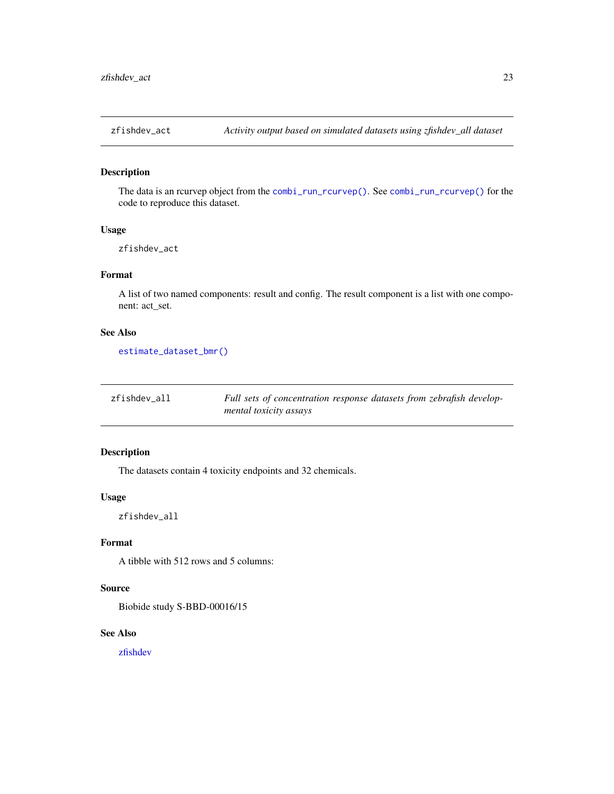<span id="page-22-0"></span>

# Description

The data is an rcurvep object from the [combi\\_run\\_rcurvep\(\)](#page-2-1). See [combi\\_run\\_rcurvep\(\)](#page-2-1) for the code to reproduce this dataset.

#### Usage

zfishdev\_act

# Format

A list of two named components: result and config. The result component is a list with one component: act\_set.

# See Also

[estimate\\_dataset\\_bmr\(\)](#page-8-1)

| zfishdev all | Full sets of concentration response datasets from zebrafish develop- |
|--------------|----------------------------------------------------------------------|
|              | mental toxicity assays                                               |

# Description

The datasets contain 4 toxicity endpoints and 32 chemicals.

# Usage

zfishdev\_all

#### Format

A tibble with 512 rows and 5 columns:

### Source

Biobide study S-BBD-00016/15

# See Also

[zfishdev](#page-21-1)